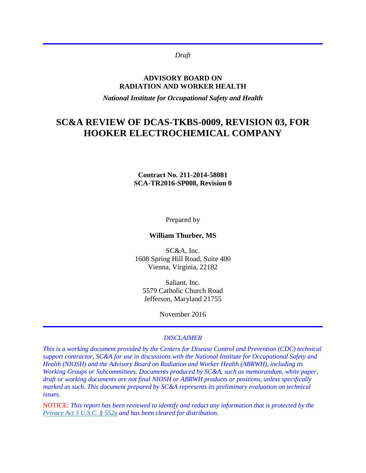*Draft*

#### **ADVISORY BOARD ON RADIATION AND WORKER HEALTH**

*National Institute for Occupational Safety and Health*

# **SC&A REVIEW OF DCAS-TKBS-0009, REVISION 03, FOR HOOKER ELECTROCHEMICAL COMPANY**

#### **Contract No. 211-2014-58081 SCA-TR2016-SP008, Revision 0**

Prepared by

**William Thurber, MS**

SC&A, Inc. 1608 Spring Hill Road, Suite 400 Vienna, Virginia, 22182

Saliant, Inc. 5579 Catholic Church Road Jefferson, Maryland 21755

November 2016

#### *DISCLAIMER*

*This is a working document provided by the Centers for Disease Control and Prevention (CDC) technical support contractor, SC&A for use in discussions with the National Institute for Occupational Safety and Health (NIOSH) and the Advisory Board on Radiation and Worker Health (ABRWH), including its Working Groups or Subcommittees. Documents produced by SC&A, such as memorandum, white paper, draft or working documents are not final NIOSH or ABRWH products or positions, unless specifically marked as such. This document prepared by SC&A represents its preliminary evaluation on technical issues.*

NOTICE: *This report has been reviewed to identify and redact any information that is protected by the [Privacy Act 5 U.S.C. § 552a](http://www.justice.gov/opcl/privacy-act-1974) and has been cleared for distribution.*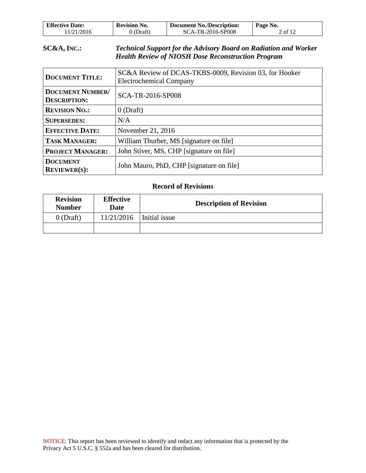| <b>Effective Date:</b> | <b>Revision No.</b> | Document No./Description: | Page No. |
|------------------------|---------------------|---------------------------|----------|
| 11/21/2016             | (Draft)             | SCA-TR-2016-SP008         | 2 of 12  |

### **SC&A, INC.:** *Technical Support for the Advisory Board on Radiation and Worker Health Review of NIOSH Dose Reconstruction Program*

| <b>DOCUMENT TITLE:</b>                         | SC&A Review of DCAS-TKBS-0009, Revision 03, for Hooker<br><b>Electrochemical Company</b> |  |
|------------------------------------------------|------------------------------------------------------------------------------------------|--|
| <b>DOCUMENT NUMBER/</b><br><b>DESCRIPTION:</b> | SCA-TR-2016-SP008                                                                        |  |
| <b>REVISION NO.:</b>                           | $0$ (Draft)                                                                              |  |
| <b>SUPERSEDES:</b>                             | N/A                                                                                      |  |
| <b>EFFECTIVE DATE:</b>                         | November 21, 2016                                                                        |  |
| <b>TASK MANAGER:</b>                           | William Thurber, MS [signature on file]                                                  |  |
| <b>PROJECT MANAGER:</b>                        | John Stiver, MS, CHP [signature on file]                                                 |  |
| <b>DOCUMENT</b><br>REVIEWER(S):                | John Mauro, PhD, CHP [signature on file]                                                 |  |

#### **Record of Revisions**

| <b>Revision</b><br><b>Number</b> | <b>Effective</b><br><b>Date</b> | <b>Description of Revision</b> |  |
|----------------------------------|---------------------------------|--------------------------------|--|
| $0$ (Draft)                      | 11/21/2016                      | Initial issue                  |  |
|                                  |                                 |                                |  |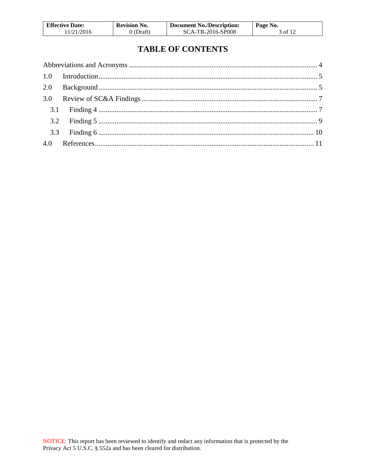| <b>Effective Date:</b> | <b>Revision No.</b> | Document No./Description: | Page No. |
|------------------------|---------------------|---------------------------|----------|
| 11/21/2016             | 0 (Draft)           | SCA-TR-2016-SP008         | 3 of 12  |

# **TABLE OF CONTENTS**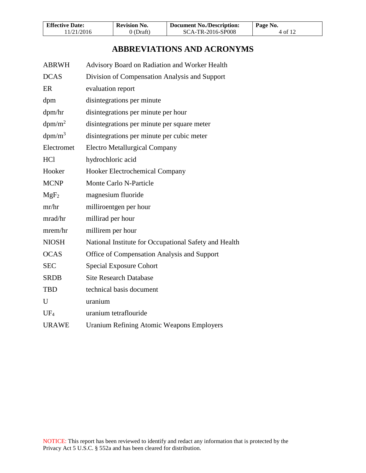| <b>Effective Date:</b> | <b>Revision No.</b> | <b>Document No./Description:</b> | Page No. |
|------------------------|---------------------|----------------------------------|----------|
| 11/21/2016             | 0 (Draft)           | SCA-TR-2016-SP008                | 4 of 12  |

# **ABBREVIATIONS AND ACRONYMS**

<span id="page-3-0"></span>

| <b>ABRWH</b>       | Advisory Board on Radiation and Worker Health         |
|--------------------|-------------------------------------------------------|
| <b>DCAS</b>        | Division of Compensation Analysis and Support         |
| ER                 | evaluation report                                     |
| dpm                | disintegrations per minute                            |
| dpm/hr             | disintegrations per minute per hour                   |
| dpm/m <sup>2</sup> | disintegrations per minute per square meter           |
| $dpm/m^3$          | disintegrations per minute per cubic meter            |
| Electromet         | <b>Electro Metallurgical Company</b>                  |
| <b>HCl</b>         | hydrochloric acid                                     |
| Hooker             | <b>Hooker Electrochemical Company</b>                 |
| <b>MCNP</b>        | <b>Monte Carlo N-Particle</b>                         |
| MgF <sub>2</sub>   | magnesium fluoride                                    |
| mr/hr              | milliroentgen per hour                                |
| mrad/hr            | millirad per hour                                     |
| mrem/hr            | millirem per hour                                     |
| <b>NIOSH</b>       | National Institute for Occupational Safety and Health |
| <b>OCAS</b>        | Office of Compensation Analysis and Support           |
| <b>SEC</b>         | <b>Special Exposure Cohort</b>                        |
| <b>SRDB</b>        | <b>Site Research Database</b>                         |
| <b>TBD</b>         | technical basis document                              |
| U                  | uranium                                               |
| $UF_4$             | uranium tetraflouride                                 |
| <b>URAWE</b>       | <b>Uranium Refining Atomic Weapons Employers</b>      |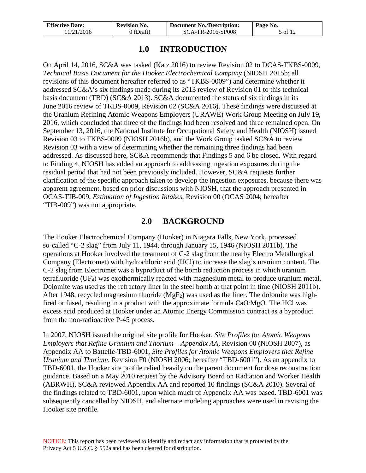| <b>Effective Date:</b> | <b>Revision No.</b> | <b>Document No./Description:</b> | Page No. |
|------------------------|---------------------|----------------------------------|----------|
| 11/21/2016             | $0$ (Draft)         | SCA-TR-2016-SP008                | 5 of 12  |

## **1.0 INTRODUCTION**

<span id="page-4-0"></span>On April 14, 2016, SC&A was tasked (Katz 2016) to review Revision 02 to DCAS-TKBS-0009, *Technical Basis Document for the Hooker Electrochemical Company* (NIOSH 2015b; all revisions of this document hereafter referred to as "TKBS-0009") and determine whether it addressed SC&A's six findings made during its 2013 review of Revision 01 to this technical basis document (TBD) (SC&A 2013). SC&A documented the status of six findings in its June 2016 review of TKBS-0009, Revision 02 (SC&A 2016). These findings were discussed at the Uranium Refining Atomic Weapons Employers (URAWE) Work Group Meeting on July 19, 2016, which concluded that three of the findings had been resolved and three remained open. On September 13, 2016, the National Institute for Occupational Safety and Health (NIOSH) issued Revision 03 to TKBS-0009 (NIOSH 2016b), and the Work Group tasked SC&A to review Revision 03 with a view of determining whether the remaining three findings had been addressed. As discussed here, SC&A recommends that Findings 5 and 6 be closed. With regard to Finding 4, NIOSH has added an approach to addressing ingestion exposures during the residual period that had not been previously included. However, SC&A requests further clarification of the specific approach taken to develop the ingestion exposures, because there was apparent agreement, based on prior discussions with NIOSH, that the approach presented in OCAS-TIB-009, *Estimation of Ingestion Intakes*, Revision 00 (OCAS 2004; hereafter "TIB-009") was not appropriate.

## **2.0 BACKGROUND**

<span id="page-4-1"></span>The Hooker Electrochemical Company (Hooker) in Niagara Falls, New York, processed so-called "C-2 slag" from July 11, 1944, through January 15, 1946 (NIOSH 2011b). The operations at Hooker involved the treatment of C-2 slag from the nearby Electro Metallurgical Company (Electromet) with hydrochloric acid (HCl) to increase the slag's uranium content. The C-2 slag from Electromet was a byproduct of the bomb reduction process in which uranium tetrafluoride (UF4) was exothermically reacted with magnesium metal to produce uranium metal. Dolomite was used as the refractory liner in the steel bomb at that point in time (NIOSH 2011b). After 1948, recycled magnesium fluoride ( $MgF_2$ ) was used as the liner. The dolomite was highfired or fused, resulting in a product with the approximate formula CaO∙MgO. The HCl was excess acid produced at Hooker under an Atomic Energy Commission contract as a byproduct from the non-radioactive P-45 process.

In 2007, NIOSH issued the original site profile for Hooker, *Site Profiles for Atomic Weapons Employers that Refine Uranium and Thorium – Appendix AA*, Revision 00 (NIOSH 2007), as Appendix AA to Battelle-TBD-6001, *Site Profiles for Atomic Weapons Employers that Refine Uranium and Thorium,* Revision F0 (NIOSH 2006; hereafter "TBD-6001"). As an appendix to TBD-6001, the Hooker site profile relied heavily on the parent document for dose reconstruction guidance. Based on a May 2010 request by the Advisory Board on Radiation and Worker Health (ABRWH), SC&A reviewed Appendix AA and reported 10 findings (SC&A 2010). Several of the findings related to TBD-6001, upon which much of Appendix AA was based. TBD-6001 was subsequently cancelled by NIOSH, and alternate modeling approaches were used in revising the Hooker site profile.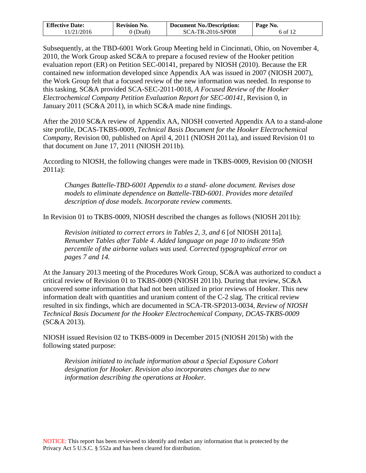| <b>Effective Date:</b> | <b>Revision No.</b> | <b>Document No./Description:</b> | Page No. |
|------------------------|---------------------|----------------------------------|----------|
| 11/21/2016             | 0 (Draft)           | SCA-TR-2016-SP008                | 6 of 12  |

Subsequently, at the TBD-6001 Work Group Meeting held in Cincinnati, Ohio, on November 4, 2010, the Work Group asked SC&A to prepare a focused review of the Hooker petition evaluation report (ER) on Petition SEC-00141, prepared by NIOSH (2010). Because the ER contained new information developed since Appendix AA was issued in 2007 (NIOSH 2007), the Work Group felt that a focused review of the new information was needed. In response to this tasking, SC&A provided SCA-SEC-2011-0018, *A Focused Review of the Hooker Electrochemical Company Petition Evaluation Report for SEC-00141,* Revision 0*,* in January 2011 (SC&A 2011), in which SC&A made nine findings.

After the 2010 SC&A review of Appendix AA, NIOSH converted Appendix AA to a stand-alone site profile, DCAS-TKBS-0009, *Technical Basis Document for the Hooker Electrochemical Company,* Revision 00*,* published on April 4, 2011 (NIOSH 2011a), and issued Revision 01 to that document on June 17, 2011 (NIOSH 2011b).

According to NIOSH, the following changes were made in TKBS-0009, Revision 00 (NIOSH 2011a):

*Changes Battelle-TBD-6001 Appendix to a stand- alone document. Revises dose models to eliminate dependence on Battelle-TBD-6001. Provides more detailed description of dose models. Incorporate review comments.*

In Revision 01 to TKBS-0009, NIOSH described the changes as follows (NIOSH 2011b):

*Revision initiated to correct errors in Tables 2, 3, and 6* [of NIOSH 2011a]*. Renumber Tables after Table 4. Added language on page 10 to indicate 95th percentile of the airborne values was used. Corrected typographical error on pages 7 and 14.*

At the January 2013 meeting of the Procedures Work Group, SC&A was authorized to conduct a critical review of Revision 01 to TKBS-0009 (NIOSH 2011b). During that review, SC&A uncovered some information that had not been utilized in prior reviews of Hooker. This new information dealt with quantities and uranium content of the C-2 slag. The critical review resulted in six findings, which are documented in SCA-TR-SP2013-0034, *Review of NIOSH Technical Basis Document for the Hooker Electrochemical Company, DCAS-TKBS-0009* (SC&A 2013).

NIOSH issued Revision 02 to TKBS-0009 in December 2015 (NIOSH 2015b) with the following stated purpose:

*Revision initiated to include information about a Special Exposure Cohort designation for Hooker. Revision also incorporates changes due to new information describing the operations at Hooker.*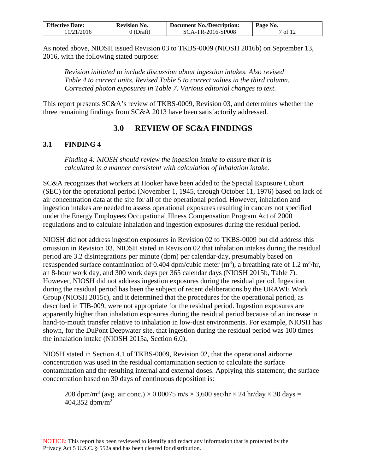| <b>Effective Date:</b> | <b>Revision No.</b> | <b>Document No./Description:</b> | Page No. |
|------------------------|---------------------|----------------------------------|----------|
| 11/21/2016             | $0$ (Draft)         | SCA-TR-2016-SP008                | 7 of 12  |

As noted above, NIOSH issued Revision 03 to TKBS-0009 (NIOSH 2016b) on September 13, 2016, with the following stated purpose:

*Revision initiated to include discussion about ingestion intakes. Also revised Table 4 to correct units. Revised Table 5 to correct values in the third column. Corrected photon exposures in Table 7. Various editorial changes to text.* 

This report presents SC&A's review of TKBS-0009, Revision 03, and determines whether the three remaining findings from SC&A 2013 have been satisfactorily addressed.

# **3.0 REVIEW OF SC&A FINDINGS**

### <span id="page-6-1"></span><span id="page-6-0"></span>**3.1 FINDING 4**

*Finding 4: NIOSH should review the ingestion intake to ensure that it is calculated in a manner consistent with calculation of inhalation intake.*

SC&A recognizes that workers at Hooker have been added to the Special Exposure Cohort (SEC) for the operational period (November 1, 1945, through October 11, 1976) based on lack of air concentration data at the site for all of the operational period. However, inhalation and ingestion intakes are needed to assess operational exposures resulting in cancers not specified under the Energy Employees Occupational Illness Compensation Program Act of 2000 regulations and to calculate inhalation and ingestion exposures during the residual period.

NIOSH did not address ingestion exposures in Revision 02 to TKBS-0009 but did address this omission in Revision 03. NIOSH stated in Revision 02 that inhalation intakes during the residual period are 3.2 disintegrations per minute (dpm) per calendar-day, presumably based on resuspended surface contamination of 0.404 dpm/cubic meter  $(m^3)$ , a breathing rate of 1.2  $m^3$ /hr, an 8-hour work day, and 300 work days per 365 calendar days (NIOSH 2015b, Table 7). However, NIOSH did not address ingestion exposures during the residual period. Ingestion during the residual period has been the subject of recent deliberations by the URAWE Work Group (NIOSH 2015c), and it determined that the procedures for the operational period, as described in TIB-009, were not appropriate for the residual period. Ingestion exposures are apparently higher than inhalation exposures during the residual period because of an increase in hand-to-mouth transfer relative to inhalation in low-dust environments. For example, NIOSH has shown, for the DuPont Deepwater site, that ingestion during the residual period was 100 times the inhalation intake (NIOSH 2015a, Section 6.0).

NIOSH stated in Section 4.1 of TKBS-0009, Revision 02, that the operational airborne concentration was used in the residual contamination section to calculate the surface contamination and the resulting internal and external doses. Applying this statement, the surface concentration based on 30 days of continuous deposition is:

208 dpm/m<sup>3</sup> (avg. air conc.)  $\times$  0.00075 m/s  $\times$  3,600 sec/hr  $\times$  24 hr/day  $\times$  30 days = 404,352 dpm/m<sup>2</sup>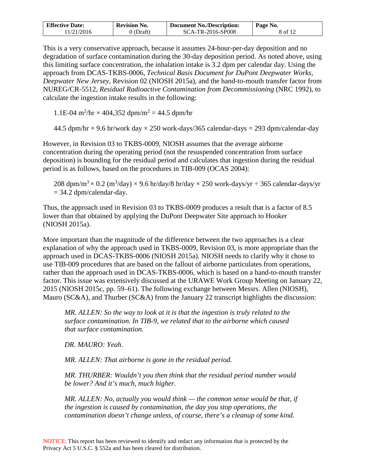| <b>Effective Date:</b> | <b>Revision No.</b> | <b>Document No./Description:</b> | Page No. |
|------------------------|---------------------|----------------------------------|----------|
| 11/21/2016             | (Draft)             | SCA-TR-2016-SP008                | 8 of 12  |

This is a very conservative approach, because it assumes 24-hour-per-day deposition and no degradation of surface contamination during the 30-day deposition period. As noted above, using this limiting surface concentration, the inhalation intake is 3.2 dpm per calendar day. Using the approach from DCAS-TKBS-0006, *Technical Basis Document for DuPont Deepwater Works, Deepwater New Jersey*, Revision 02 (NIOSH 2015a), and the hand-to-mouth transfer factor from NUREG/CR-5512, *Residual Radioactive Contamination from Decommissioning* (NRC 1992), to calculate the ingestion intake results in the following:

1.1E-04 m<sup>2</sup>/hr  $\times$  404,352 dpm/m<sup>2</sup> = 44.5 dpm/hr

44.5 dpm/hr  $\times$  9.6 hr/work day  $\times$  250 work-days/365 calendar-days = 293 dpm/calendar-day

However, in Revision 03 to TKBS-0009, NIOSH assumes that the average airborne concentration during the operating period (not the resuspended concentration from surface deposition) is bounding for the residual period and calculates that ingestion during the residual period is as follows, based on the procedures in TIB-009 (OCAS 2004):

208 dpm/m $^3\times$  0.2 (m $^3$ /day)  $\times$  9.6 hr/day/8 hr/day  $\times$  250 work-days/yr  $\div$  365 calendar-days/yr  $= 34.2$  dpm/calendar-day.

Thus, the approach used in Revision 03 to TKBS-0009 produces a result that is a factor of 8.5 lower than that obtained by applying the DuPont Deepwater Site approach to Hooker (NIOSH 2015a).

More important than the magnitude of the difference between the two approaches is a clear explanation of why the approach used in TKBS-0009, Revision 03, is more appropriate than the approach used in DCAS-TKBS-0006 (NIOSH 2015a). NIOSH needs to clarify why it chose to use TIB-009 procedures that are based on the fallout of airborne particulates from operations, rather than the approach used in DCAS-TKBS-0006, which is based on a hand-to-mouth transfer factor. This issue was extensively discussed at the URAWE Work Group Meeting on January 22, 2015 (NIOSH 2015c, pp. 59–61). The following exchange between Messrs. Allen (NIOSH), Mauro (SC&A), and Thurber (SC&A) from the January 22 transcript highlights the discussion:

*MR. ALLEN: So the way to look at it is that the ingestion is truly related to the surface contamination. In TIB-9, we related that to the airborne which caused that surface contamination.* 

*DR. MAURO: Yeah.*

*MR. ALLEN: That airborne is gone in the residual period.* 

*MR. THURBER: Wouldn't you then think that the residual period number would be lower? And it's much, much higher.* 

*MR. ALLEN: No, actually you would think — the common sense would be that, if the ingestion is caused by contamination, the day you stop operations, the contamination doesn't change unless, of course, there's a cleanup of some kind.*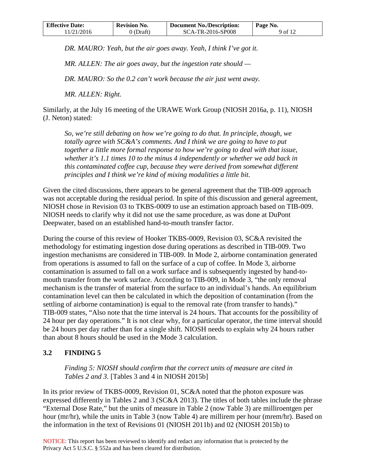| <b>Effective Date:</b> | <b>Revision No.</b> | <b>Document No./Description:</b> | Page No. |
|------------------------|---------------------|----------------------------------|----------|
| 11/21/2016             | 0 (Draft)           | SCA-TR-2016-SP008                | 9 of 12  |

*DR. MAURO: Yeah, but the air goes away. Yeah, I think I've got it.* 

*MR. ALLEN: The air goes away, but the ingestion rate should —*

*DR. MAURO: So the 0.2 can't work because the air just went away.* 

*MR. ALLEN: Right.*

Similarly, at the July 16 meeting of the URAWE Work Group (NIOSH 2016a, p. 11), NIOSH (J. Neton) stated:

*So, we're still debating on how we're going to do that. In principle, though, we totally agree with SC&A's comments. And I think we are going to have to put together a little more formal response to how we're going to deal with that issue, whether it's 1.1 times 10 to the minus 4 independently or whether we add back in this contaminated coffee cup, because they were derived from somewhat different principles and I think we're kind of mixing modalities a little bit.*

Given the cited discussions, there appears to be general agreement that the TIB-009 approach was not acceptable during the residual period. In spite of this discussion and general agreement, NIOSH chose in Revision 03 to TKBS-0009 to use an estimation approach based on TIB-009. NIOSH needs to clarify why it did not use the same procedure, as was done at DuPont Deepwater, based on an established hand-to-mouth transfer factor.

During the course of this review of Hooker TKBS-0009, Revision 03, SC&A revisited the methodology for estimating ingestion dose during operations as described in TIB-009. Two ingestion mechanisms are considered in TIB-009. In Mode 2, airborne contamination generated from operations is assumed to fall on the surface of a cup of coffee. In Mode 3, airborne contamination is assumed to fall on a work surface and is subsequently ingested by hand-tomouth transfer from the work surface. According to TIB-009, in Mode 3, "the only removal mechanism is the transfer of material from the surface to an individual's hands. An equilibrium contamination level can then be calculated in which the deposition of contamination (from the settling of airborne contamination) is equal to the removal rate (from transfer to hands)." TIB-009 states, "Also note that the time interval is 24 hours. That accounts for the possibility of 24 hour per day operations." It is not clear why, for a particular operator, the time interval should be 24 hours per day rather than for a single shift. NIOSH needs to explain why 24 hours rather than about 8 hours should be used in the Mode 3 calculation.

### <span id="page-8-0"></span>**3.2 FINDING 5**

*Finding 5: NIOSH should confirm that the correct units of measure are cited in Tables 2 and 3.* [Tables 3 and 4 in NIOSH 2015b]

In its prior review of TKBS-0009, Revision 01, SC&A noted that the photon exposure was expressed differently in Tables 2 and 3 (SC&A 2013). The titles of both tables include the phrase "External Dose Rate," but the units of measure in Table 2 (now Table 3) are milliroentgen per hour (mr/hr), while the units in Table 3 (now Table 4) are millirem per hour (mrem/hr). Based on the information in the text of Revisions 01 (NIOSH 2011b) and 02 (NIOSH 2015b) to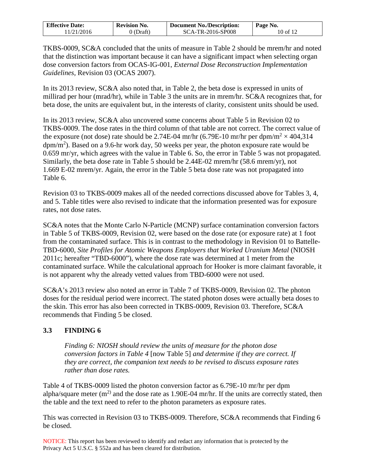| <b>Effective Date:</b> | <b>Revision No.</b> | <b>Document No./Description:</b> | Page No. |
|------------------------|---------------------|----------------------------------|----------|
| 11/21/2016             | ) (Draft)           | SCA-TR-2016-SP008                | 10 of 12 |

TKBS-0009, SC&A concluded that the units of measure in Table 2 should be mrem/hr and noted that the distinction was important because it can have a significant impact when selecting organ dose conversion factors from OCAS-IG-001, *External Dose Reconstruction Implementation Guidelines,* Revision 03 (OCAS 2007).

In its 2013 review, SC&A also noted that, in Table 2, the beta dose is expressed in units of millirad per hour (mrad/hr), while in Table 3 the units are in mrem/hr. SC&A recognizes that, for beta dose, the units are equivalent but, in the interests of clarity, consistent units should be used.

In its 2013 review, SC&A also uncovered some concerns about Table 5 in Revision 02 to TKBS-0009. The dose rates in the third column of that table are not correct. The correct value of the exposure (not dose) rate should be 2.74E-04 mr/hr (6.79E-10 mr/hr per dpm/m<sup>2</sup>  $\times$  404,314  $\text{dpm/m}^2$ ). Based on a 9.6-hr work day, 50 weeks per year, the photon exposure rate would be 0.659 mr/yr, which agrees with the value in Table 6. So, the error in Table 5 was not propagated. Similarly, the beta dose rate in Table 5 should be 2.44E-02 mrem/hr (58.6 mrem/yr), not 1.669 E-02 mrem/yr. Again, the error in the Table 5 beta dose rate was not propagated into Table 6.

Revision 03 to TKBS-0009 makes all of the needed corrections discussed above for Tables 3, 4, and 5. Table titles were also revised to indicate that the information presented was for exposure rates, not dose rates.

SC&A notes that the Monte Carlo N-Particle (MCNP) surface contamination conversion factors in Table 5 of TKBS-0009, Revision 02, were based on the dose rate (or exposure rate) at 1 foot from the contaminated surface. This is in contrast to the methodology in Revision 01 to Battelle-TBD-6000, *Site Profiles for Atomic Weapons Employers that Worked Uranium Metal* (NIOSH 2011c; hereafter "TBD-6000"), where the dose rate was determined at 1 meter from the contaminated surface. While the calculational approach for Hooker is more claimant favorable, it is not apparent why the already vetted values from TBD-6000 were not used.

SC&A's 2013 review also noted an error in Table 7 of TKBS-0009, Revision 02. The photon doses for the residual period were incorrect. The stated photon doses were actually beta doses to the skin. This error has also been corrected in TKBS-0009, Revision 03. Therefore, SC&A recommends that Finding 5 be closed.

### <span id="page-9-0"></span>**3.3 FINDING 6**

*Finding 6: NIOSH should review the units of measure for the photon dose conversion factors in Table 4* [now Table 5] *and determine if they are correct. If they are correct, the companion text needs to be revised to discuss exposure rates rather than dose rates.*

Table 4 of TKBS-0009 listed the photon conversion factor as 6.79E-10 mr/hr per dpm alpha/square meter  $(m^2)$  and the dose rate as 1.90E-04 mr/hr. If the units are correctly stated, then the table and the text need to refer to the photon parameters as exposure rates.

This was corrected in Revision 03 to TKBS-0009. Therefore, SC&A recommends that Finding 6 be closed.

NOTICE: This report has been reviewed to identify and redact any information that is protected by the Privacy Act 5 U.S.C. § 552a and has been cleared for distribution.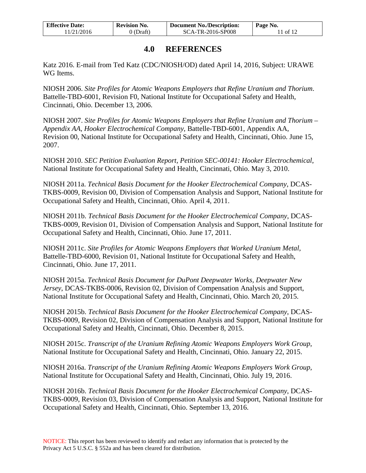| <b>Effective Date:</b> | <b>Revision No.</b> | <b>Document No./Description:</b> | Page No.  |
|------------------------|---------------------|----------------------------------|-----------|
| 11/21/2016             | 0 (Draft)           | SCA-TR-2016-SP008                | $1$ of 12 |

## **4.0 REFERENCES**

<span id="page-10-0"></span>Katz 2016. E-mail from Ted Katz (CDC/NIOSH/OD) dated April 14, 2016, Subject: URAWE WG Items.

NIOSH 2006. *Site Profiles for Atomic Weapons Employers that Refine Uranium and Thorium*. Battelle-TBD-6001, Revision F0, National Institute for Occupational Safety and Health, Cincinnati, Ohio. December 13, 2006.

NIOSH 2007. *Site Profiles for Atomic Weapons Employers that Refine Uranium and Thorium – Appendix AA, Hooker Electrochemical Company*, Battelle-TBD-6001, Appendix AA, Revision 00, National Institute for Occupational Safety and Health, Cincinnati, Ohio. June 15, 2007.

NIOSH 2010. *SEC Petition Evaluation Report, Petition SEC-00141: Hooker Electrochemical*, National Institute for Occupational Safety and Health, Cincinnati, Ohio. May 3, 2010.

NIOSH 2011a. *Technical Basis Document for the Hooker Electrochemical Company*, DCAS-TKBS-0009, Revision 00, Division of Compensation Analysis and Support, National Institute for Occupational Safety and Health, Cincinnati, Ohio. April 4, 2011.

NIOSH 2011b. *Technical Basis Document for the Hooker Electrochemical Company*, DCAS-TKBS-0009, Revision 01, Division of Compensation Analysis and Support, National Institute for Occupational Safety and Health, Cincinnati, Ohio. June 17, 2011.

NIOSH 2011c. *Site Profiles for Atomic Weapons Employers that Worked Uranium Metal,* Battelle-TBD-6000, Revision 01, National Institute for Occupational Safety and Health, Cincinnati, Ohio. June 17, 2011.

NIOSH 2015a. *Technical Basis Document for DuPont Deepwater Works, Deepwater New Jersey*, DCAS-TKBS-0006, Revision 02, Division of Compensation Analysis and Support, National Institute for Occupational Safety and Health, Cincinnati, Ohio. March 20, 2015.

NIOSH 2015b. *Technical Basis Document for the Hooker Electrochemical Company*, DCAS-TKBS-0009, Revision 02, Division of Compensation Analysis and Support, National Institute for Occupational Safety and Health, Cincinnati, Ohio. December 8, 2015.

NIOSH 2015c. *Transcript of the Uranium Refining Atomic Weapons Employers Work Group*, National Institute for Occupational Safety and Health, Cincinnati, Ohio. January 22, 2015.

NIOSH 2016a. *Transcript of the Uranium Refining Atomic Weapons Employers Work Group*, National Institute for Occupational Safety and Health, Cincinnati, Ohio. July 19, 2016.

NIOSH 2016b. *Technical Basis Document for the Hooker Electrochemical Company*, DCAS-TKBS-0009, Revision 03, Division of Compensation Analysis and Support, National Institute for Occupational Safety and Health, Cincinnati, Ohio. September 13, 2016.